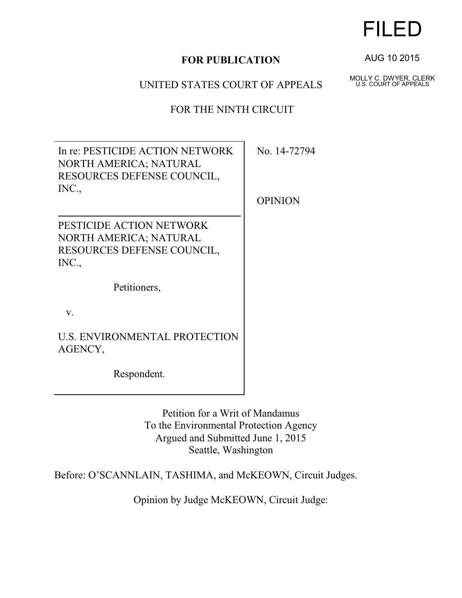# **FOR PUBLICATION**

## UNITED STATES COURT OF APPEALS

FOR THE NINTH CIRCUIT

In re: PESTICIDE ACTION NETWORK NORTH AMERICA; NATURAL RESOURCES DEFENSE COUNCIL, INC., PESTICIDE ACTION NETWORK NORTH AMERICA; NATURAL RESOURCES DEFENSE COUNCIL, INC., Petitioners, v.

U.S. ENVIRONMENTAL PROTECTION AGENCY,

Respondent.

Petition for a Writ of Mandamus To the Environmental Protection Agency Argued and Submitted June 1, 2015 Seattle, Washington

Before: O'SCANNLAIN, TASHIMA, and McKEOWN, Circuit Judges.

Opinion by Judge McKEOWN, Circuit Judge:

FILED

AUG 10 2015

MOLLY C. DWYER, CLERK U.S. COURT OF APPEALS

No. 14-72794

**OPINION**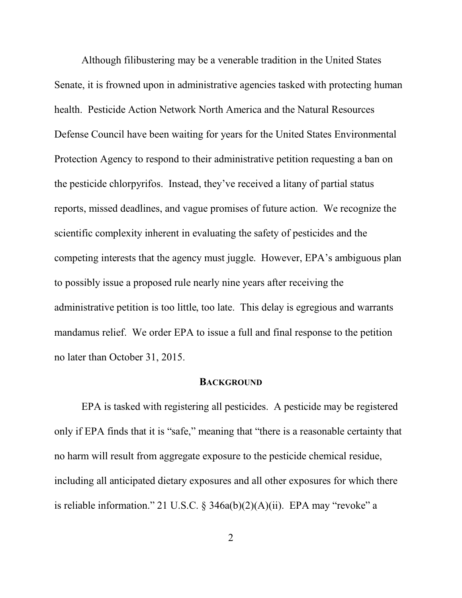Although filibustering may be a venerable tradition in the United States Senate, it is frowned upon in administrative agencies tasked with protecting human health. Pesticide Action Network North America and the Natural Resources Defense Council have been waiting for years for the United States Environmental Protection Agency to respond to their administrative petition requesting a ban on the pesticide chlorpyrifos. Instead, they've received a litany of partial status reports, missed deadlines, and vague promises of future action. We recognize the scientific complexity inherent in evaluating the safety of pesticides and the competing interests that the agency must juggle. However, EPA's ambiguous plan to possibly issue a proposed rule nearly nine years after receiving the administrative petition is too little, too late. This delay is egregious and warrants mandamus relief. We order EPA to issue a full and final response to the petition no later than October 31, 2015.

#### **BACKGROUND**

EPA is tasked with registering all pesticides. A pesticide may be registered only if EPA finds that it is "safe," meaning that "there is a reasonable certainty that no harm will result from aggregate exposure to the pesticide chemical residue, including all anticipated dietary exposures and all other exposures for which there is reliable information." 21 U.S.C. § 346a(b)(2)(A)(ii). EPA may "revoke" a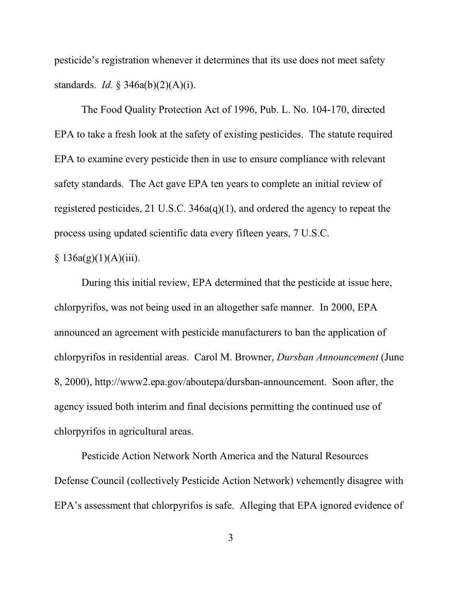pesticide's registration whenever it determines that its use does not meet safety standards. *Id.* § 346a(b)(2)(A)(i).

The Food Quality Protection Act of 1996, Pub. L. No. 104-170, directed EPA to take a fresh look at the safety of existing pesticides. The statute required EPA to examine every pesticide then in use to ensure compliance with relevant safety standards. The Act gave EPA ten years to complete an initial review of registered pesticides, 21 U.S.C. 346a(q)(1), and ordered the agency to repeat the process using updated scientific data every fifteen years, 7 U.S.C.

### $§ 136a(g)(1)(A)(iii).$

During this initial review, EPA determined that the pesticide at issue here, chlorpyrifos, was not being used in an altogether safe manner. In 2000, EPA announced an agreement with pesticide manufacturers to ban the application of chlorpyrifos in residential areas. Carol M. Browner, *Dursban Announcement* (June 8, 2000), http://www2.epa.gov/aboutepa/dursban-announcement. Soon after, the agency issued both interim and final decisions permitting the continued use of chlorpyrifos in agricultural areas.

Pesticide Action Network North America and the Natural Resources Defense Council (collectively Pesticide Action Network) vehemently disagree with EPA's assessment that chlorpyrifos is safe. Alleging that EPA ignored evidence of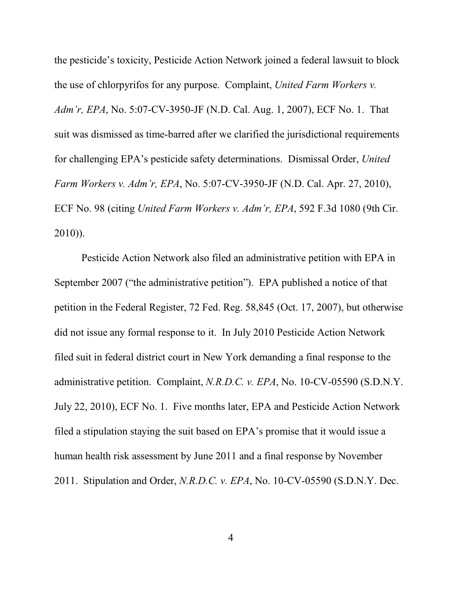the pesticide's toxicity, Pesticide Action Network joined a federal lawsuit to block the use of chlorpyrifos for any purpose. Complaint, *United Farm Workers v. Adm'r, EPA*, No. 5:07-CV-3950-JF (N.D. Cal. Aug. 1, 2007), ECF No. 1. That suit was dismissed as time-barred after we clarified the jurisdictional requirements for challenging EPA's pesticide safety determinations. Dismissal Order, *United Farm Workers v. Adm'r, EPA*, No. 5:07-CV-3950-JF (N.D. Cal. Apr. 27, 2010), ECF No. 98 (citing *United Farm Workers v. Adm'r, EPA*, 592 F.3d 1080 (9th Cir. 2010)).

Pesticide Action Network also filed an administrative petition with EPA in September 2007 ("the administrative petition"). EPA published a notice of that petition in the Federal Register, 72 Fed. Reg. 58,845 (Oct. 17, 2007), but otherwise did not issue any formal response to it. In July 2010 Pesticide Action Network filed suit in federal district court in New York demanding a final response to the administrative petition. Complaint, *N.R.D.C. v. EPA*, No. 10-CV-05590 (S.D.N.Y. July 22, 2010), ECF No. 1. Five months later, EPA and Pesticide Action Network filed a stipulation staying the suit based on EPA's promise that it would issue a human health risk assessment by June 2011 and a final response by November 2011. Stipulation and Order, *N.R.D.C. v. EPA*, No. 10-CV-05590 (S.D.N.Y. Dec.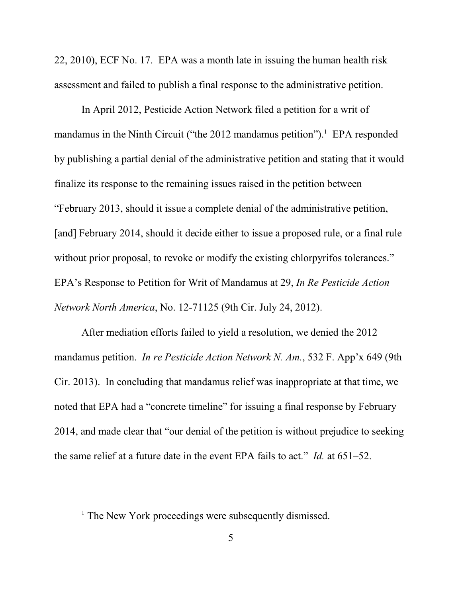22, 2010), ECF No. 17. EPA was a month late in issuing the human health risk assessment and failed to publish a final response to the administrative petition.

In April 2012, Pesticide Action Network filed a petition for a writ of mandamus in the Ninth Circuit ("the 2012 mandamus petition").<sup>1</sup> EPA responded by publishing a partial denial of the administrative petition and stating that it would finalize its response to the remaining issues raised in the petition between "February 2013, should it issue a complete denial of the administrative petition, [and] February 2014, should it decide either to issue a proposed rule, or a final rule without prior proposal, to revoke or modify the existing chlorpyrifos tolerances." EPA's Response to Petition for Writ of Mandamus at 29, *In Re Pesticide Action Network North America*, No. 12-71125 (9th Cir. July 24, 2012).

After mediation efforts failed to yield a resolution, we denied the 2012 mandamus petition. *In re Pesticide Action Network N. Am.*, 532 F. App'x 649 (9th Cir. 2013). In concluding that mandamus relief was inappropriate at that time, we noted that EPA had a "concrete timeline" for issuing a final response by February 2014, and made clear that "our denial of the petition is without prejudice to seeking the same relief at a future date in the event EPA fails to act." *Id.* at 651–52.

<sup>&</sup>lt;sup>1</sup> The New York proceedings were subsequently dismissed.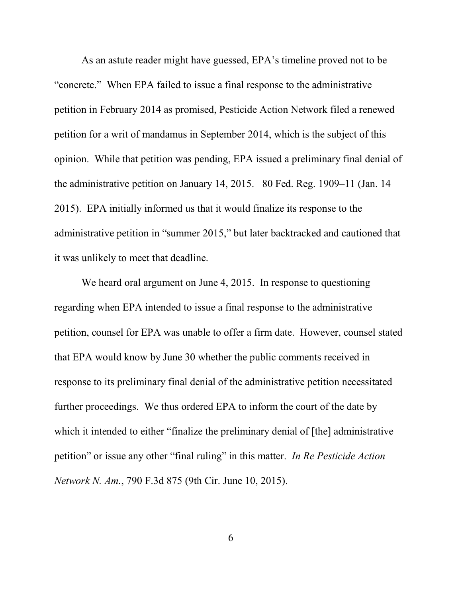As an astute reader might have guessed, EPA's timeline proved not to be "concrete." When EPA failed to issue a final response to the administrative petition in February 2014 as promised, Pesticide Action Network filed a renewed petition for a writ of mandamus in September 2014, which is the subject of this opinion. While that petition was pending, EPA issued a preliminary final denial of the administrative petition on January 14, 2015. 80 Fed. Reg. 1909–11 (Jan. 14 2015). EPA initially informed us that it would finalize its response to the administrative petition in "summer 2015," but later backtracked and cautioned that it was unlikely to meet that deadline.

We heard oral argument on June 4, 2015. In response to questioning regarding when EPA intended to issue a final response to the administrative petition, counsel for EPA was unable to offer a firm date. However, counsel stated that EPA would know by June 30 whether the public comments received in response to its preliminary final denial of the administrative petition necessitated further proceedings. We thus ordered EPA to inform the court of the date by which it intended to either "finalize the preliminary denial of [the] administrative petition" or issue any other "final ruling" in this matter. *In Re Pesticide Action Network N. Am.*, 790 F.3d 875 (9th Cir. June 10, 2015).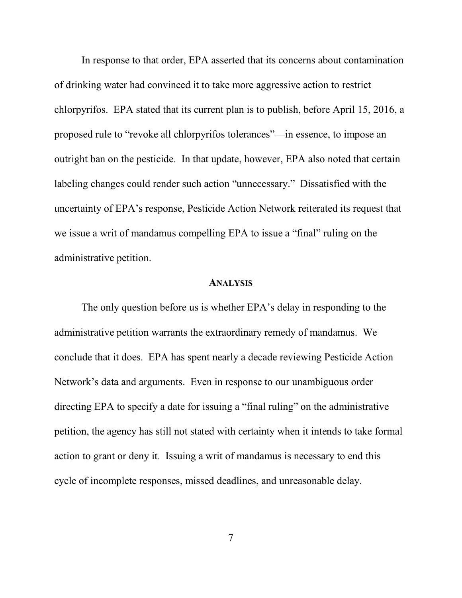In response to that order, EPA asserted that its concerns about contamination of drinking water had convinced it to take more aggressive action to restrict chlorpyrifos. EPA stated that its current plan is to publish, before April 15, 2016, a proposed rule to "revoke all chlorpyrifos tolerances"—in essence, to impose an outright ban on the pesticide. In that update, however, EPA also noted that certain labeling changes could render such action "unnecessary." Dissatisfied with the uncertainty of EPA's response, Pesticide Action Network reiterated its request that we issue a writ of mandamus compelling EPA to issue a "final" ruling on the administrative petition.

#### **ANALYSIS**

The only question before us is whether EPA's delay in responding to the administrative petition warrants the extraordinary remedy of mandamus. We conclude that it does. EPA has spent nearly a decade reviewing Pesticide Action Network's data and arguments. Even in response to our unambiguous order directing EPA to specify a date for issuing a "final ruling" on the administrative petition, the agency has still not stated with certainty when it intends to take formal action to grant or deny it. Issuing a writ of mandamus is necessary to end this cycle of incomplete responses, missed deadlines, and unreasonable delay.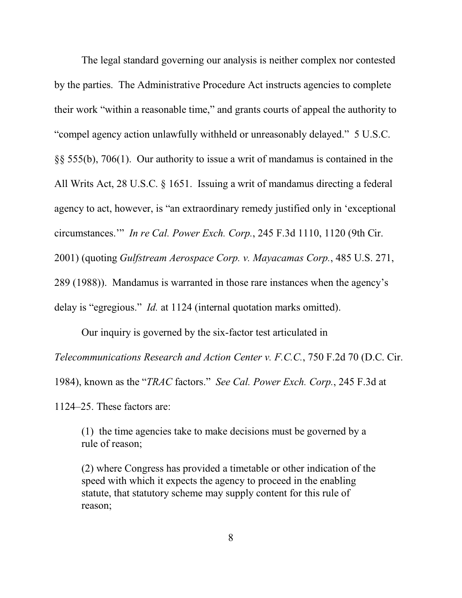The legal standard governing our analysis is neither complex nor contested by the parties. The Administrative Procedure Act instructs agencies to complete their work "within a reasonable time," and grants courts of appeal the authority to "compel agency action unlawfully withheld or unreasonably delayed." 5 U.S.C. §§ 555(b), 706(1). Our authority to issue a writ of mandamus is contained in the All Writs Act, 28 U.S.C. § 1651. Issuing a writ of mandamus directing a federal agency to act, however, is "an extraordinary remedy justified only in 'exceptional circumstances.'" *In re Cal. Power Exch. Corp.*, 245 F.3d 1110, 1120 (9th Cir. 2001) (quoting *Gulfstream Aerospace Corp. v. Mayacamas Corp.*, 485 U.S. 271, 289 (1988)). Mandamus is warranted in those rare instances when the agency's delay is "egregious." *Id.* at 1124 (internal quotation marks omitted).

Our inquiry is governed by the six-factor test articulated in

*Telecommunications Research and Action Center v. F.C.C.*, 750 F.2d 70 (D.C. Cir.

1984), known as the "*TRAC* factors." *See Cal. Power Exch. Corp.*, 245 F.3d at

1124–25. These factors are:

(1) the time agencies take to make decisions must be governed by a rule of reason;

(2) where Congress has provided a timetable or other indication of the speed with which it expects the agency to proceed in the enabling statute, that statutory scheme may supply content for this rule of reason;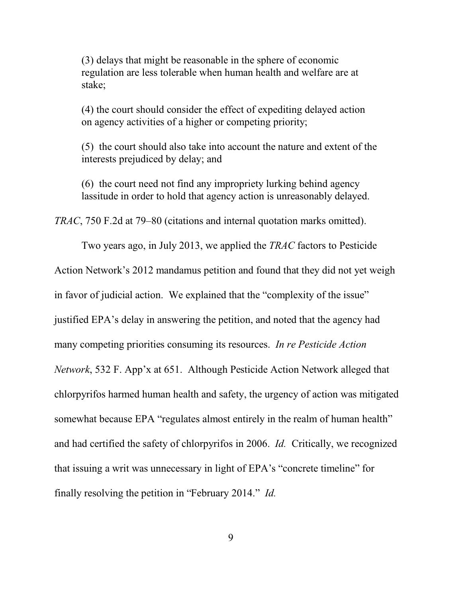(3) delays that might be reasonable in the sphere of economic regulation are less tolerable when human health and welfare are at stake;

(4) the court should consider the effect of expediting delayed action on agency activities of a higher or competing priority;

(5) the court should also take into account the nature and extent of the interests prejudiced by delay; and

(6) the court need not find any impropriety lurking behind agency lassitude in order to hold that agency action is unreasonably delayed.

*TRAC*, 750 F.2d at 79–80 (citations and internal quotation marks omitted).

Two years ago, in July 2013, we applied the *TRAC* factors to Pesticide Action Network's 2012 mandamus petition and found that they did not yet weigh in favor of judicial action. We explained that the "complexity of the issue" justified EPA's delay in answering the petition, and noted that the agency had many competing priorities consuming its resources. *In re Pesticide Action Network*, 532 F. App'x at 651. Although Pesticide Action Network alleged that chlorpyrifos harmed human health and safety, the urgency of action was mitigated somewhat because EPA "regulates almost entirely in the realm of human health" and had certified the safety of chlorpyrifos in 2006. *Id.* Critically, we recognized that issuing a writ was unnecessary in light of EPA's "concrete timeline" for finally resolving the petition in "February 2014." *Id.*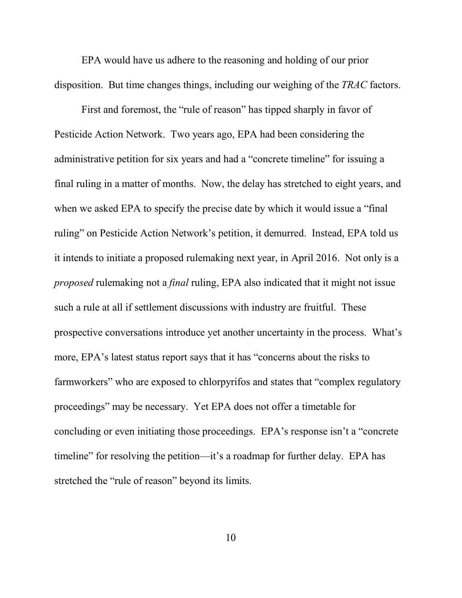EPA would have us adhere to the reasoning and holding of our prior disposition. But time changes things, including our weighing of the *TRAC* factors.

First and foremost, the "rule of reason" has tipped sharply in favor of Pesticide Action Network. Two years ago, EPA had been considering the administrative petition for six years and had a "concrete timeline" for issuing a final ruling in a matter of months. Now, the delay has stretched to eight years, and when we asked EPA to specify the precise date by which it would issue a "final ruling" on Pesticide Action Network's petition, it demurred. Instead, EPA told us it intends to initiate a proposed rulemaking next year, in April 2016. Not only is a *proposed* rulemaking not a *final* ruling, EPA also indicated that it might not issue such a rule at all if settlement discussions with industry are fruitful. These prospective conversations introduce yet another uncertainty in the process. What's more, EPA's latest status report says that it has "concerns about the risks to farmworkers" who are exposed to chlorpyrifos and states that "complex regulatory proceedings" may be necessary. Yet EPA does not offer a timetable for concluding or even initiating those proceedings. EPA's response isn't a "concrete timeline" for resolving the petition—it's a roadmap for further delay. EPA has stretched the "rule of reason" beyond its limits.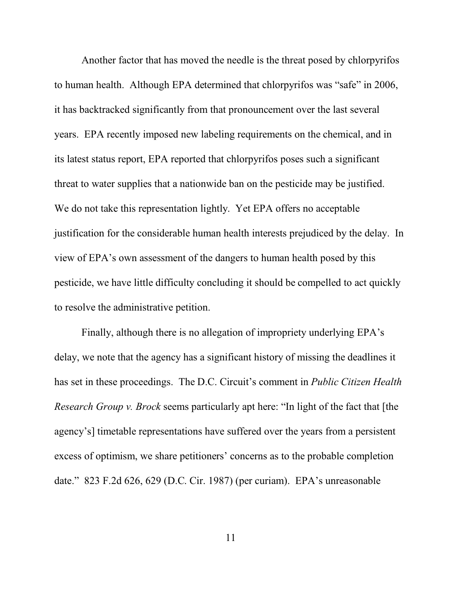Another factor that has moved the needle is the threat posed by chlorpyrifos to human health. Although EPA determined that chlorpyrifos was "safe" in 2006, it has backtracked significantly from that pronouncement over the last several years. EPA recently imposed new labeling requirements on the chemical, and in its latest status report, EPA reported that chlorpyrifos poses such a significant threat to water supplies that a nationwide ban on the pesticide may be justified. We do not take this representation lightly. Yet EPA offers no acceptable justification for the considerable human health interests prejudiced by the delay. In view of EPA's own assessment of the dangers to human health posed by this pesticide, we have little difficulty concluding it should be compelled to act quickly to resolve the administrative petition.

Finally, although there is no allegation of impropriety underlying EPA's delay, we note that the agency has a significant history of missing the deadlines it has set in these proceedings. The D.C. Circuit's comment in *Public Citizen Health Research Group v. Brock* seems particularly apt here: "In light of the fact that [the agency's] timetable representations have suffered over the years from a persistent excess of optimism, we share petitioners' concerns as to the probable completion date." 823 F.2d 626, 629 (D.C. Cir. 1987) (per curiam). EPA's unreasonable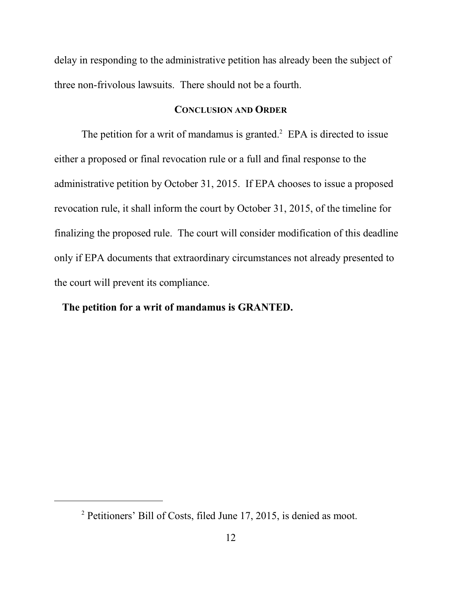delay in responding to the administrative petition has already been the subject of three non-frivolous lawsuits. There should not be a fourth.

### **CONCLUSION AND ORDER**

The petition for a writ of mandamus is granted. $2$  EPA is directed to issue either a proposed or final revocation rule or a full and final response to the administrative petition by October 31, 2015. If EPA chooses to issue a proposed revocation rule, it shall inform the court by October 31, 2015, of the timeline for finalizing the proposed rule. The court will consider modification of this deadline only if EPA documents that extraordinary circumstances not already presented to the court will prevent its compliance.

### **The petition for a writ of mandamus is GRANTED.**

<sup>&</sup>lt;sup>2</sup> Petitioners' Bill of Costs, filed June 17, 2015, is denied as moot.